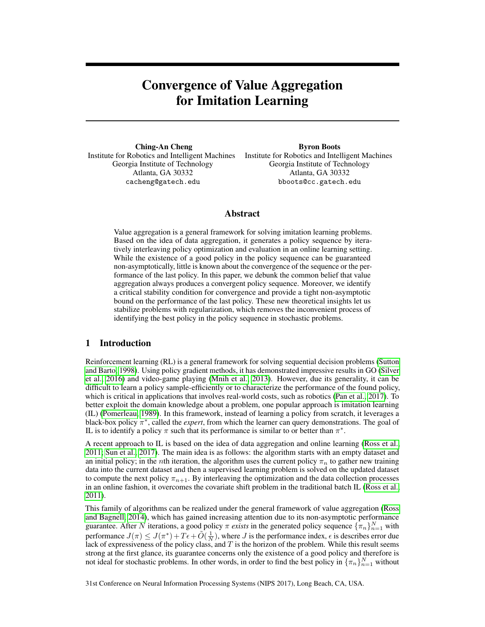# Convergence of Value Aggregation for Imitation Learning

Ching-An Cheng Institute for Robotics and Intelligent Machines Institute for Robotics and Intelligent Machines Georgia Institute of Technology Atlanta, GA 30332 cacheng@gatech.edu

Byron Boots Georgia Institute of Technology Atlanta, GA 30332 bboots@cc.gatech.edu

# Abstract

Value aggregation is a general framework for solving imitation learning problems. Based on the idea of data aggregation, it generates a policy sequence by iteratively interleaving policy optimization and evaluation in an online learning setting. While the existence of a good policy in the policy sequence can be guaranteed non-asymptotically, little is known about the convergence of the sequence or the performance of the last policy. In this paper, we debunk the common belief that value aggregation always produces a convergent policy sequence. Moreover, we identify a critical stability condition for convergence and provide a tight non-asymptotic bound on the performance of the last policy. These new theoretical insights let us stabilize problems with regularization, which removes the inconvenient process of identifying the best policy in the policy sequence in stochastic problems.

## 1 Introduction

Reinforcement learning (RL) is a general framework for solving sequential decision problems [\(Sutton](#page-9-0) [and Barto, 1998\)](#page-9-0). Using policy gradient methods, it has demonstrated impressive results in GO [\(Silver](#page-8-0) [et al., 2016\)](#page-8-0) and video-game playing [\(Mnih et al., 2013\)](#page-8-1). However, due its generality, it can be difficult to learn a policy sample-efficiently or to characterize the performance of the found policy, which is critical in applications that involves real-world costs, such as robotics [\(Pan et al., 2017\)](#page-8-2). To better exploit the domain knowledge about a problem, one popular approach is imitation learning (IL) [\(Pomerleau, 1989\)](#page-8-3). In this framework, instead of learning a policy from scratch, it leverages a black-box policy  $\pi^*$ , called the *expert*, from which the learner can query demonstrations. The goal of IL is to identify a policy  $\pi$  such that its performance is similar to or better than  $\pi^*$ .

A recent approach to IL is based on the idea of data aggregation and online learning [\(Ross et al.,](#page-8-4) [2011;](#page-8-4) [Sun et al., 2017\)](#page-8-5). The main idea is as follows: the algorithm starts with an empty dataset and an initial policy; in the *n*th iteration, the algorithm uses the current policy  $\pi_n$  to gather new training data into the current dataset and then a supervised learning problem is solved on the updated dataset to compute the next policy  $\pi_{n+1}$ . By interleaving the optimization and the data collection processes in an online fashion, it overcomes the covariate shift problem in the traditional batch IL [\(Ross et al.,](#page-8-4) [2011\)](#page-8-4).

This family of algorithms can be realized under the general framework of value aggregation [\(Ross](#page-8-6) [and Bagnell, 2014\)](#page-8-6), which has gained increasing attention due to its non-asymptotic performance guarantee. After N iterations, a good policy  $\pi$  *exists* in the generated policy sequence  $\{\pi_n\}_{n=1}^N$  with performance  $J(\pi) \leq J(\pi^*) + T\epsilon + \tilde{O}(\frac{1}{N})$ , where J is the performance index,  $\epsilon$  is describes error due lack of expressiveness of the policy class, and  $T$  is the horizon of the problem. While this result seems strong at the first glance, its guarantee concerns only the existence of a good policy and therefore is not ideal for stochastic problems. In other words, in order to find the best policy in  $\{\pi_n\}_{n=1}^N$  without

31st Conference on Neural Information Processing Systems (NIPS 2017), Long Beach, CA, USA.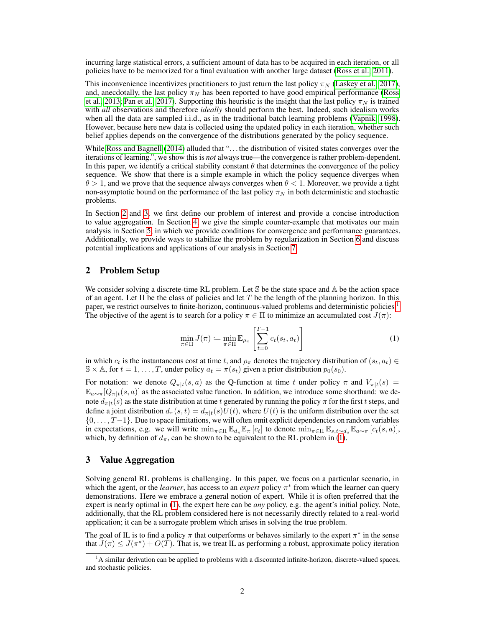incurring large statistical errors, a sufficient amount of data has to be acquired in each iteration, or all policies have to be memorized for a final evaluation with another large dataset [\(Ross et al., 2011\)](#page-8-4).

This inconvenience incentivizes practitioners to just return the last policy  $\pi_N$  [\(Laskey et al., 2017\)](#page-8-7), and, anecdotally, the last policy  $\pi_N$  has been reported to have good empirical performance [\(Ross](#page-8-8) [et al., 2013;](#page-8-8) [Pan et al., 2017\)](#page-8-2). Supporting this heuristic is the insight that the last policy  $\pi_N$  is trained with *all* observations and therefore *ideally* should perform the best. Indeed, such idealism works when all the data are sampled i.i.d., as in the traditional batch learning problems [\(Vapnik, 1998\)](#page-9-1). However, because here new data is collected using the updated policy in each iteration, whether such belief applies depends on the convergence of the distributions generated by the policy sequence.

While [Ross and Bagnell](#page-8-6) [\(2014\)](#page-8-6) alluded that "... the distribution of visited states converges over the iterations of learning.", we show this is *not* always true—the convergence is rather problem-dependent. In this paper, we identify a critical stability constant  $\theta$  that determines the convergence of the policy sequence. We show that there is a simple example in which the policy sequence diverges when  $\theta > 1$ , and we prove that the sequence always converges when  $\theta < 1$ . Moreover, we provide a tight non-asymptotic bound on the performance of the last policy  $\pi_N$  in both deterministic and stochastic problems.

In Section [2](#page-1-0) and [3,](#page-1-1) we first define our problem of interest and provide a concise introduction to value aggregation. In Section [4,](#page-3-0) we give the simple counter-example that motivates our main analysis in Section [5,](#page-4-0) in which we provide conditions for convergence and performance guarantees. Additionally, we provide ways to stabilize the problem by regularization in Section [6](#page-6-0) and discuss potential implications and applications of our analysis in Section [7.](#page-7-0)

## <span id="page-1-0"></span>2 Problem Setup

We consider solving a discrete-time RL problem. Let S be the state space and A be the action space of an agent. Let  $\Pi$  be the class of policies and let T be the length of the planning horizon. In this paper, we restrict ourselves to finite-horizon, continuous-valued problems and deterministic policies.[1](#page-1-2) The objective of the agent is to search for a policy  $\pi \in \Pi$  to minimize an accumulated cost  $J(\pi)$ :

<span id="page-1-3"></span>
$$
\min_{\pi \in \Pi} J(\pi) \coloneqq \min_{\pi \in \Pi} \mathbb{E}_{\rho_{\pi}} \left[ \sum_{t=0}^{T-1} c_t(s_t, a_t) \right] \tag{1}
$$

in which  $c_t$  is the instantaneous cost at time t, and  $\rho_\pi$  denotes the trajectory distribution of  $(s_t, a_t) \in$  $\mathbb{S} \times \mathbb{A}$ , for  $t = 1, \ldots, T$ , under policy  $a_t = \pi(s_t)$  given a prior distribution  $p_0(s_0)$ .

For notation: we denote  $Q_{\pi|t}(s, a)$  as the Q-function at time t under policy  $\pi$  and  $V_{\pi|t}(s)$  =  $\mathbb{E}_{a\sim\pi}[Q_{\pi|t}(s,a)]$  as the associated value function. In addition, we introduce some shorthand: we denote  $d_{\pi|t}(s)$  as the state distribution at time t generated by running the policy  $\pi$  for the first t steps, and define a joint distribution  $d_{\pi}(s,t) = d_{\pi|t}(s)U(t)$ , where  $U(t)$  is the uniform distribution over the set {0, . . . , T−1}. Due to space limitations, we will often omit explicit dependencies on random variables in expectations, e.g. we will write  $\min_{\pi \in \Pi} \mathbb{E}_{d_{\pi}} \mathbb{E}_{\pi} [c_t]$  to denote  $\min_{\pi \in \Pi} \mathbb{E}_{s,t \sim d_{\pi}} \mathbb{E}_{a \sim \pi} [c_t(s,a)]$ , which, by definition of  $d_{\pi}$ , can be shown to be equivalent to the RL problem in [\(1\)](#page-1-3).

## <span id="page-1-1"></span>3 Value Aggregation

Solving general RL problems is challenging. In this paper, we focus on a particular scenario, in which the agent, or the *learner*, has access to an *expert* policy  $\pi^*$  from which the learner can query demonstrations. Here we embrace a general notion of expert. While it is often preferred that the expert is nearly optimal in [\(1\)](#page-1-3), the expert here can be *any* policy, e.g. the agent's initial policy. Note, additionally, that the RL problem considered here is not necessarily directly related to a real-world application; it can be a surrogate problem which arises in solving the true problem.

The goal of IL is to find a policy  $\pi$  that outperforms or behaves similarly to the expert  $\pi^*$  in the sense that  $J(\pi) \leq J(\pi^*) + O(T)$ . That is, we treat IL as performing a robust, approximate policy iteration

<span id="page-1-2"></span><sup>&</sup>lt;sup>1</sup>A similar derivation can be applied to problems with a discounted infinite-horizon, discrete-valued spaces, and stochastic policies.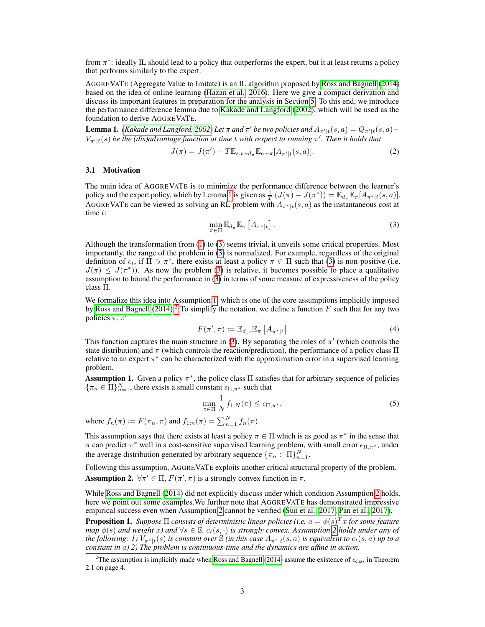from  $\pi^*$ : ideally IL should lead to a policy that outperforms the expert, but it at least returns a policy that performs similarly to the expert.

AGGREVATE (Aggregate Value to Imitate) is an IL algorithm proposed by [Ross and Bagnell](#page-8-6) [\(2014\)](#page-8-6) based on the idea of online learning [\(Hazan et al., 2016\)](#page-8-9). Here we give a compact derivation and discuss its important features in preparation for the analysis in Section [5.](#page-4-0) To this end, we introduce the performance difference lemma due to [Kakade and Langford](#page-8-10) [\(2002\)](#page-8-10), which will be used as the foundation to derive AGGREVATE.

<span id="page-2-0"></span>**Lemma 1.** *[\(Kakade and Langford, 2002\)](#page-8-10) Let*  $\pi$  *and*  $\pi'$  *be two policies and*  $A_{\pi'[t]}(s, a) = Q_{\pi'[t]}(s, a) V_{\pi'|t}(s)$  be the (dis)advantage function at time  $t$  with respect to running  $\pi'$ . Then it holds that

$$
J(\pi) = J(\pi') + T \mathbb{E}_{s, t \sim d_{\pi}} \mathbb{E}_{a \sim \pi} [A_{\pi'|t}(s, a)]. \tag{2}
$$

#### 3.1 Motivation

The main idea of AGGREVATE is to minimize the performance difference between the learner's policy and the expert policy, which by Lemma [1](#page-2-0) is given as  $\frac{1}{T} (J(\pi) - J(\pi^*)) = \mathbb{E}_{d_{\pi}} \mathbb{E}_{\pi} [A_{\pi^* | t}(s, a)].$ AGGREVATE can be viewed as solving an RL problem with  $A_{\pi^*|t}(s, a)$  as the instantaneous cost at time t:

<span id="page-2-1"></span>
$$
\min_{\pi \in \Pi} \mathbb{E}_{d_{\pi}} \mathbb{E}_{\pi} \left[ A_{\pi^* | t} \right]. \tag{3}
$$

Although the transformation from [\(1\)](#page-1-3) to [\(3\)](#page-2-1) seems trivial, it unveils some critical properties. Most importantly, the range of the problem in [\(3\)](#page-2-1) is normalized. For example, regardless of the original definition of  $c_t$ , if  $\Pi \ni \pi^*$ , there exists at least a policy  $\pi \in \Pi$  such that [\(3\)](#page-2-1) is non-positive (i.e.  $J(\pi) \leq J(\pi^*)$ ). As now the problem [\(3\)](#page-2-1) is relative, it becomes possible to place a qualitative assumption to bound the performance in [\(3\)](#page-2-1) in terms of some measure of expressiveness of the policy class Π.

We formalize this idea into Assumption [1,](#page-2-2) which is one of the core assumptions implicitly imposed by [Ross and Bagnell](#page-8-6) [\(2014\)](#page-8-6).<sup>[2](#page-2-3)</sup> To simplify the notation, we define a function  $F$  such that for any two policies  $\pi, \pi'$ 

<span id="page-2-6"></span>
$$
F(\pi', \pi) \coloneqq \mathbb{E}_{d_{\pi'}} \mathbb{E}_{\pi} \left[ A_{\pi^* | t} \right] \tag{4}
$$

This function captures the main structure in [\(3\)](#page-2-1). By separating the roles of  $\pi'$  (which controls the state distribution) and  $\pi$  (which controls the reaction/prediction), the performance of a policy class  $\Pi$ relative to an expert  $\pi^*$  can be characterized with the approximation error in a supervised learning problem.

<span id="page-2-2"></span>**Assumption 1.** Given a policy  $\pi^*$ , the policy class  $\Pi$  satisfies that for arbitrary sequence of policies  ${\{\pi_n \in \Pi\}}_{n=1}^N$ , there exists a small constant  $\epsilon_{\Pi,\pi^*}$  such that

$$
\min_{\pi \in \Pi} \frac{1}{N} f_{1:N}(\pi) \le \epsilon_{\Pi, \pi^*},\tag{5}
$$

where  $f_n(\pi) \coloneqq F(\pi_n, \pi)$  and  $f_{1:n}(\pi) = \sum_{n=1}^{N} f_n(\pi)$ .

This assumption says that there exists at least a policy  $\pi \in \Pi$  which is as good as  $\pi^*$  in the sense that π can predict  $\pi^*$  well in a cost-sensitive supervised learning problem, with small error  $\epsilon_{\Pi,\pi^*}$ , under the average distribution generated by arbitrary sequence  $\{\pi_n \in \Pi\}_{n=1}^N$ .

<span id="page-2-4"></span>Following this assumption, AGGREVATE exploits another critical structural property of the problem. **Assumption 2.**  $\forall \pi' \in \Pi$ ,  $F(\pi', \pi)$  is a strongly convex function in  $\pi$ .

While [Ross and Bagnell](#page-8-6) [\(2014\)](#page-8-6) did not explicitly discuss under which condition Assumption [2](#page-2-4) holds, here we point out some examples.We further note that AGGREVATE has demonstrated impressive empirical success even when Assumption [2](#page-2-4) cannot be verified [\(Sun et al., 2017;](#page-8-5) [Pan et al., 2017\)](#page-8-2).

<span id="page-2-5"></span>**Proposition 1.** Suppose  $\Pi$  consists of deterministic linear policies (i.e.  $a = \phi(s)^T x$  for some feature *map*  $\phi(s)$  *and weight* x) and  $\forall s \in \mathbb{S}$ ,  $c_t(s, \cdot)$  *is strongly convex. Assumption* [2](#page-2-4) *holds under any of the following: 1)*  $V_{\pi^*|t}(s)$  *is constant over*  $\Im$  *(in this case*  $A_{\pi^*|t}(s, a)$  *is equivalent to*  $c_t(s, a)$  *up to a constant in* a*) 2) The problem is continuous-time and the dynamics are affine in action.*

<span id="page-2-3"></span><sup>&</sup>lt;sup>2</sup>The assumption is implicitly made when [Ross and Bagnell](#page-8-6) [\(2014\)](#page-8-6) assume the existence of  $\epsilon_{\text{class}}$  in Theorem 2.1 on page 4.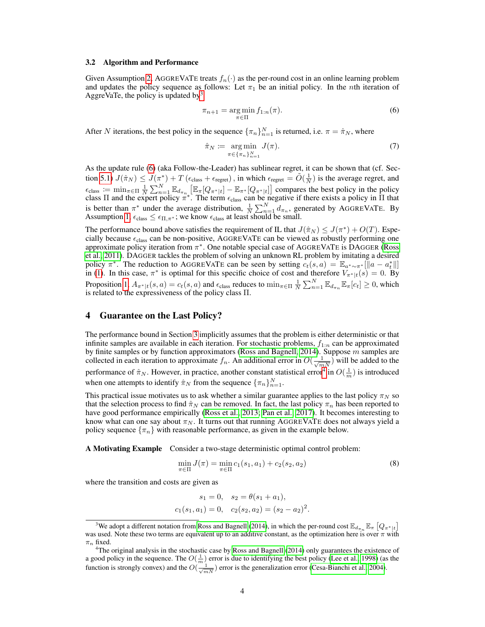#### 3.2 Algorithm and Performance

Given Assumption [2,](#page-2-4) AGGREVATE treats  $f_n(\cdot)$  as the per-round cost in an online learning problem and updates the policy sequence as follows: Let  $\pi_1$  be an initial policy. In the *n*th iteration of AggreVaTe, the policy is updated by<sup>[3](#page-3-1)</sup>

<span id="page-3-2"></span>
$$
\pi_{n+1} = \underset{\pi \in \Pi}{\arg \min} f_{1:n}(\pi). \tag{6}
$$

After N iterations, the best policy in the sequence  $\{\pi_n\}_{n=1}^N$  is returned, i.e.  $\pi = \hat{\pi}_N$ , where

<span id="page-3-4"></span>
$$
\hat{\pi}_N := \underset{\pi \in \{\pi_n\}_{n=1}^N}{\arg \min} J(\pi). \tag{7}
$$

As the update rule [\(6\)](#page-3-2) (aka Follow-the-Leader) has sublinear regret, it can be shown that (cf. Sec-tion [5.1\)](#page-4-1)  $J(\hat{\pi}_N) \leq J(\pi^*) + T(\epsilon_{\text{class}} + \epsilon_{\text{regret}})$ , in which  $\epsilon_{\text{regret}} = \tilde{O}(\frac{1}{N})$  is the average regret, and  $\epsilon_{\text{class}} := \min_{\pi \in \Pi} \frac{1}{N} \sum_{n=1}^{N} \mathbb{E}_{d_{\pi_n}} \left[ \mathbb{E}_{\pi} [Q_{\pi^* | t}] - \mathbb{E}_{\pi^*} [Q_{\pi^* | t}] \right]$  compares the best policy in the policy class  $\Pi$  and the expert policy  $\pi^*$ . The term  $\epsilon_{\text{class}}$  can be negative if there exists a policy in  $\Pi$  that is better than  $\pi^*$  under the average distribution,  $\frac{1}{N} \sum_{n=1}^{N} d_{\pi_n}$ , generated by AGGREVATE. By Assumption [1,](#page-2-2)  $\epsilon_{\text{class}} \leq \epsilon_{\Pi,\pi^*}$ ; we know  $\epsilon_{\text{class}}$  at least should be small.

The performance bound above satisfies the requirement of IL that  $J(\hat{\pi}_N) \leq J(\pi^*) + O(T)$ . Especially because  $\epsilon_{\text{class}}$  can be non-positive, AGGREVATE can be viewed as robustly performing one approximate policy iteration from  $\pi^*$ . One notable special case of AGGREVATE is DAGGER [\(Ross](#page-8-4) [et al., 2011\)](#page-8-4). DAGGER tackles the problem of solving an unknown RL problem by imitating a desired policy  $\pi^*$ . The reduction to AGGREVATE can be seen by setting  $c_t(s, a) = \mathbb{E}_{a^* \sim \pi^*} [\Vert a - a_t^* \Vert]$ in [\(1\)](#page-1-3). In this case,  $\pi^*$  is optimal for this specific choice of cost and therefore  $V_{\pi^*|t}(s) = 0$ . By Proposition [1,](#page-2-5)  $A_{\pi^*|t}(s, a) = c_t(s, a)$  and  $\epsilon_{\text{class}}$  reduces to  $\min_{\pi \in \Pi} \frac{1}{N} \sum_{n=1}^N \mathbb{E}_{d_{\pi_n}} \mathbb{E}_{\pi}[c_t] \ge 0$ , which is related to the expressiveness of the policy class Π.

## <span id="page-3-0"></span>4 Guarantee on the Last Policy?

The performance bound in Section [3](#page-1-1) implicitly assumes that the problem is either deterministic or that infinite samples are available in each iteration. For stochastic problems,  $f_{1:n}$  can be approximated by finite samples or by function approximators [\(Ross and Bagnell, 2014\)](#page-8-6). Suppose  $m$  samples are collected in each iteration to approximate  $f_n$ . An additional error in  $O(\frac{1}{\sqrt{mN}})$  will be added to the performance of  $\hat{\pi}_N$ . However, in practice, another constant statistical error<sup>[4](#page-3-3)</sup> in  $O(\frac{1}{m})$  is introduced when one attempts to identify  $\hat{\pi}_N$  from the sequence  $\{\pi_n\}_{n=1}^N$ .

This practical issue motivates us to ask whether a similar guarantee applies to the last policy  $\pi_N$  so that the selection process to find  $\hat{\pi}_N$  can be removed. In fact, the last policy  $\pi_n$  has been reported to have good performance empirically [\(Ross et al., 2013;](#page-8-8) [Pan et al., 2017\)](#page-8-2). It becomes interesting to know what can one say about  $\pi_N$ . It turns out that running AGGREVATE does not always yield a policy sequence  $\{\pi_n\}$  with reasonable performance, as given in the example below.

A Motivating Example Consider a two-stage deterministic optimal control problem:

$$
\min_{\pi \in \Pi} J(\pi) = \min_{\pi \in \Pi} c_1(s_1, a_1) + c_2(s_2, a_2)
$$
\n(8)

where the transition and costs are given as

$$
s_1 = 0
$$
,  $s_2 = \theta(s_1 + a_1)$ ,  
 $c_1(s_1, a_1) = 0$ ,  $c_2(s_2, a_2) = (s_2 - a_2)^2$ .

<span id="page-3-1"></span><sup>&</sup>lt;sup>3</sup>We adopt a different notation from [Ross and Bagnell](#page-8-6) [\(2014\)](#page-8-6), in which the per-round cost  $\mathbb{E}_{d_{\pi_n}}\mathbb{E}_{\pi}$   $[Q_{\pi^*|t}]$ was used. Note these two terms are equivalent up to an additive constant, as the optimization here is over  $\pi$  with  $\pi_n$  fixed.

<span id="page-3-3"></span><sup>&</sup>lt;sup>4</sup>The original analysis in the stochastic case by [Ross and Bagnell](#page-8-6) [\(2014\)](#page-8-6) only guarantees the existence of a good policy in the sequence. The  $O(\frac{1}{m})$  error is due to identifying the best policy [\(Lee et al., 1998\)](#page-8-11) (as the function is strongly convex) and the  $O(\frac{1}{\sqrt{m}N})$  error is the generalization error [\(Cesa-Bianchi et al., 2004\)](#page-8-12).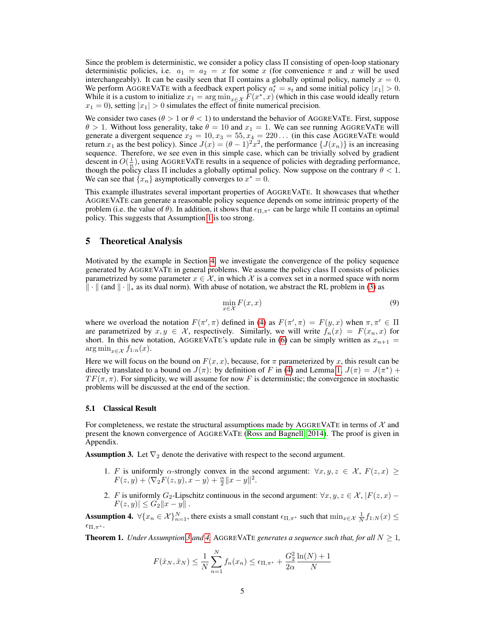Since the problem is deterministic, we consider a policy class Π consisting of open-loop stationary deterministic policies, i.e.  $a_1 = a_2 = x$  for some x (for convenience  $\pi$  and x will be used interchangeably). It can be easily seen that  $\Pi$  contains a globally optimal policy, namely  $x = 0$ . We perform AGGREVATE with a feedback expert policy  $a_t^* = s_t$  and some initial policy  $|x_1| > 0$ . While it is a custom to initialize  $x_1 = \arg \min_{x \in \mathcal{X}} F(x^*, x)$  (which in this case would ideally return  $x_1 = 0$ ), setting  $|x_1| > 0$  simulates the effect of finite numerical precision.

We consider two cases ( $\theta > 1$  or  $\theta < 1$ ) to understand the behavior of AGGREVATE. First, suppose  $\theta > 1$ . Without loss generality, take  $\theta = 10$  and  $x_1 = 1$ . We can see running AGGREVATE will generate a divergent sequence  $x_2 = 10, x_3 = 55, x_4 = 220...$  (in this case AGGREVATE would return  $x_1$  as the best policy). Since  $J(x) = (\theta - 1)^2 x^2$ , the performance  $\{J(x_n)\}$  is an increasing sequence. Therefore, we see even in this simple case, which can be trivially solved by gradient descent in  $O(\frac{1}{n})$ , using AGGREVATE results in a sequence of policies with degrading performance, though the policy class  $\Pi$  includes a globally optimal policy. Now suppose on the contrary  $\theta < 1$ . We can see that  $\{x_n\}$  asymptotically converges to  $x^* = 0$ .

This example illustrates several important properties of AGGREVATE. It showcases that whether AGGREVATE can generate a reasonable policy sequence depends on some intrinsic property of the problem (i.e. the value of  $\theta$ ). In addition, it shows that  $\epsilon_{\Pi,\pi^*}$  can be large while  $\Pi$  contains an optimal policy. This suggests that Assumption [1](#page-2-2) is too strong.

## <span id="page-4-0"></span>5 Theoretical Analysis

Motivated by the example in Section [4,](#page-3-0) we investigate the convergence of the policy sequence generated by AGGREVATE in general problems. We assume the policy class Π consists of policies parametrized by some parameter  $x \in \mathcal{X}$ , in which X is a convex set in a normed space with norm  $\Vert \cdot \Vert$  (and  $\Vert \cdot \Vert_*$  as its dual norm). With abuse of notation, we abstract the RL problem in [\(3\)](#page-2-1) as

<span id="page-4-4"></span>
$$
\min_{x \in \mathcal{X}} F(x, x) \tag{9}
$$

where we overload the notation  $F(\pi', \pi)$  defined in [\(4\)](#page-2-6) as  $F(\pi', \pi) = F(y, x)$  when  $\pi, \pi' \in \Pi$ are parametrized by  $x, y \in \mathcal{X}$ , respectively. Similarly, we will write  $f_n(x) = F(x_n, x)$  for short. In this new notation, AGGREVATE's update rule in [\(6\)](#page-3-2) can be simply written as  $x_{n+1} =$  $\arg \min_{x \in \mathcal{X}} f_{1:n}(x)$ .

Here we will focus on the bound on  $F(x, x)$ , because, for  $\pi$  parameterized by x, this result can be directly translated to a bound on  $J(\pi)$ : by definition of F in [\(4\)](#page-2-6) and Lemma [1,](#page-2-0)  $J(\pi) = J(\pi^*)$  +  $TF(\pi, \pi)$ . For simplicity, we will assume for now F is deterministic; the convergence in stochastic problems will be discussed at the end of the section.

#### <span id="page-4-1"></span>5.1 Classical Result

For completeness, we restate the structural assumptions made by AGGREVATE in terms of  $\mathcal{X}$  and present the known convergence of AGGREVATE [\(Ross and Bagnell, 2014\)](#page-8-6). The proof is given in Appendix.

<span id="page-4-5"></span><span id="page-4-2"></span>**Assumption 3.** Let  $\nabla_2$  denote the derivative with respect to the second argument.

- 1. F is uniformly  $\alpha$ -strongly convex in the second argument:  $\forall x, y, z \in \mathcal{X}, F(z, x) \geq 1$  $F(z, y) + \langle \nabla_2 F(z, y), x - y \rangle + \frac{\alpha}{2} ||x - y||^2.$
- <span id="page-4-6"></span>2. F is uniformly G<sub>2</sub>-Lipschitz continuous in the second argument:  $\forall x, y, z \in \mathcal{X}, |F(z, x) |F(z, y)| \leq G_2 ||x - y||$ .

<span id="page-4-3"></span>**Assumption 4.**  $\forall \{x_n \in \mathcal{X}\}_{n=1}^N$ , there exists a small constant  $\epsilon_{\Pi, \pi^*}$  such that  $\min_{x \in \mathcal{X}} \frac{1}{N} f_{1:N}(x) \leq$  $\epsilon_{\Pi,\pi^*}.$ 

<span id="page-4-7"></span>**Theorem 1.** *Under Assumption [3](#page-4-2) and [4,](#page-4-3) AGGREVATE generates a sequence such that, for all*  $N \geq 1$ *,* 

$$
F(\hat{x}_N, \hat{x}_N) \le \frac{1}{N} \sum_{n=1}^N f_n(x_n) \le \epsilon_{\Pi, \pi^*} + \frac{G_2^2}{2\alpha} \frac{\ln(N) + 1}{N}
$$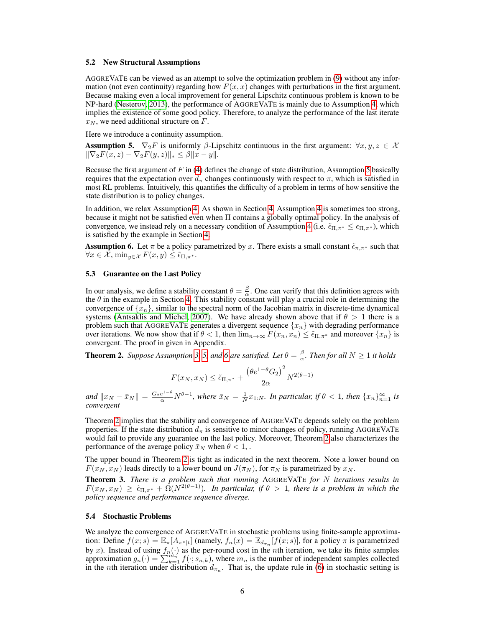#### 5.2 New Structural Assumptions

AGGREVATE can be viewed as an attempt to solve the optimization problem in [\(9\)](#page-4-4) without any information (not even continuity) regarding how  $F(x, x)$  changes with perturbations in the first argument. Because making even a local improvement for general Lipschitz continuous problem is known to be NP-hard [\(Nesterov, 2013\)](#page-8-13), the performance of AGGREVATE is mainly due to Assumption [4,](#page-4-3) which implies the existence of some good policy. Therefore, to analyze the performance of the last iterate  $x_N$ , we need additional structure on F.

Here we introduce a continuity assumption.

<span id="page-5-0"></span>**Assumption 5.**  $\nabla_2 F$  is uniformly  $\beta$ -Lipschitz continuous in the first argument:  $\forall x, y, z \in \mathcal{X}$  $\|\nabla_2F(x, z) - \nabla_2F(y, z)\|_{*} \leq \beta \|x - y\|.$ 

Because the first argument of  $F$  in [\(4\)](#page-2-6) defines the change of state distribution, Assumption [5](#page-5-0) basically requires that the expectation over  $d_{\pi}$  changes continuously with respect to  $\pi$ , which is satisfied in most RL problems. Intuitively, this quantifies the difficulty of a problem in terms of how sensitive the state distribution is to policy changes.

In addition, we relax Assumption [4.](#page-4-3) As shown in Section [4,](#page-3-0) Assumption [4](#page-4-3) is sometimes too strong, because it might not be satisfied even when Π contains a globally optimal policy. In the analysis of convergence, we instead rely on a necessary condition of Assumption [4](#page-4-3) (i.e.  $\tilde{\epsilon}_{\Pi,\pi^*} \leq \epsilon_{\Pi,\pi^*}$ ), which is satisfied by the example in Section [4.](#page-3-0)

<span id="page-5-1"></span>**Assumption 6.** Let  $\pi$  be a policy parametrized by x. There exists a small constant  $\tilde{\epsilon}_{\pi,\pi^*}$  such that  $\forall x \in \mathcal{X}$ ,  $\min_{y \in \mathcal{X}} F(x, y) \leq \tilde{\epsilon}_{\Pi, \pi^*}$ .

### 5.3 Guarantee on the Last Policy

In our analysis, we define a stability constant  $\theta = \frac{\beta}{\alpha}$ . One can verify that this definition agrees with the  $\theta$  in the example in Section [4.](#page-3-0) This stability constant will play a crucial role in determining the convergence of  ${x_n}$ , similar to the spectral norm of the Jacobian matrix in discrete-time dynamical systems [\(Antsaklis and Michel, 2007\)](#page-8-14). We have already shown above that if  $\theta > 1$  there is a problem such that AGGREVATE generates a divergent sequence  ${x_n}$  with degrading performance over iterations. We now show that if  $\theta < 1$ , then  $\lim_{n\to\infty} F(x_n, x_n) \leq \tilde{\epsilon}_{\Pi,\pi^*}$  and moreover  $\{x_n\}$  is convergent. The proof in given in Appendix.

<span id="page-5-2"></span>**Theorem 2.** *Suppose Assumption [3,](#page-4-2) [5,](#page-5-0) and [6](#page-5-1) are satisfied. Let*  $\theta = \frac{\beta}{\alpha}$ *. Then for all*  $N \ge 1$  *it holds* 

$$
F(x_N, x_N) \le \tilde{\epsilon}_{\Pi, \pi^*} + \frac{\left(\theta e^{1-\theta} G_2\right)^2}{2\alpha} N^{2(\theta-1)}
$$

 $\|x_N - \bar{x}_N\| = \frac{G_2 e^{1-\theta}}{\alpha} N^{\theta-1}$ , where  $\bar{x}_N = \frac{1}{N} x_{1:N}$ . In particular, if  $\theta < 1$ , then  $\{x_n\}_{n=1}^{\infty}$  is *convergent*

Theorem [2](#page-5-2) implies that the stability and convergence of AGGREVATE depends solely on the problem properties. If the state distribution  $d_{\pi}$  is sensitive to minor changes of policy, running AGGREVATE would fail to provide any guarantee on the last policy. Moreover, Theorem [2](#page-5-2) also characterizes the performance of the average policy  $\bar{x}_N$  when  $\theta < 1$ ,.

The upper bound in Theorem [2](#page-5-2) is tight as indicated in the next theorem. Note a lower bound on  $F(x_N, x_N)$  leads directly to a lower bound on  $J(\pi_N)$ , for  $\pi_N$  is parametrized by  $x_N$ .

Theorem 3. *There is a problem such that running* AGGREVATE *for* N *iterations results in*  $F(x_N, x_N) \geq \tilde{\epsilon}_{\Pi, \pi^*} + \tilde{\Omega}(N^{2(\theta-1)})$ *. In particular, if*  $\theta > 1$ *, there is a problem in which the policy sequence and performance sequence diverge.*

#### 5.4 Stochastic Problems

We analyze the convergence of AGGREVATE in stochastic problems using finite-sample approximation: Define  $f(x; s) = \mathbb{E}_{\pi}[A_{\pi^*|t}]$  (namely,  $f_n(x) = \mathbb{E}_{d_{\pi_n}}[f(x; s)]$ , for a policy  $\pi$  is parametrized by x). Instead of using  $f_n(\cdot)$  as the per-round cost in the nth iteration, we take its finite samples approximation  $g_n(\cdot) = \sum_{k=1}^{n} f(\cdot; s_{n,k})$ , where  $m_n$  is the number of independent samples collected in the *n*th iteration under distribution  $d_{\pi_n}$ . That is, the update rule in [\(6\)](#page-3-2) in stochastic setting is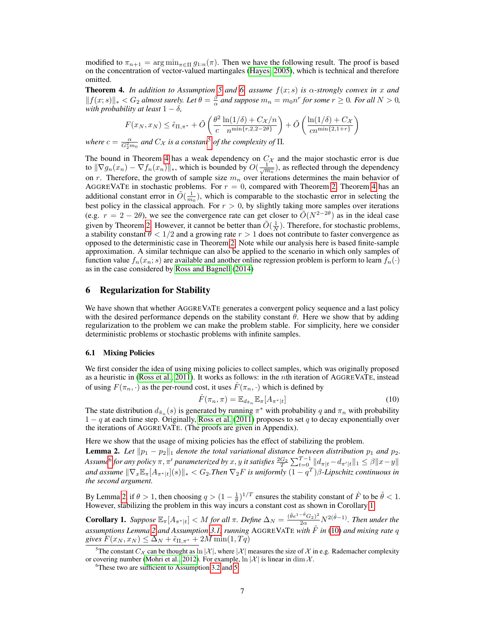modified to  $\pi_{n+1} = \arg \min_{\pi \in \Pi} g_{1:n}(\pi)$ . Then we have the following result. The proof is based on the concentration of vector-valued martingales [\(Hayes, 2005\)](#page-8-15), which is technical and therefore omitted.

<span id="page-6-2"></span>**Theorem 4.** In addition to Assumption [5](#page-5-0) and [6,](#page-5-1) assume  $f(x; s)$  is  $\alpha$ -strongly convex in x and  $||f(x; s)||_* < G_2$  *almost surely. Let*  $\theta = \frac{\beta}{\alpha}$  *and suppose*  $m_n = m_0 n^r$  *for some*  $r ≥ 0$ *. For all*  $N > 0$ *, with probability at least*  $1 - \delta$ *,* 

$$
F(x_N, x_N) \leq \tilde{\epsilon}_{\Pi, \pi^*} + \tilde{O}\left(\frac{\theta^2}{c} \frac{\ln(1/\delta) + C_{\mathcal{X}}/n}{n^{\min\{r, 2, 2 - 2\theta\}}} \right) + \tilde{O}\left(\frac{\ln(1/\delta) + C_{\mathcal{X}}}{cn^{\min\{2, 1 + r\}}}\right)
$$

*where*  $c = \frac{\alpha}{G_2^2 m_0}$  *and*  $C_{\mathcal{X}}$  *is a constant*<sup>[5](#page-6-1)</sup> *of the complexity of*  $\Pi$ *.* 

The bound in Theorem [4](#page-6-2) has a weak dependency on  $C_{\mathcal{X}}$  and the major stochastic error is due to  $\|\nabla g_n(x_n) - \nabla f_n(x_n)\|_*$ , which is bounded by  $O(\frac{1}{\sqrt{m_n}})$ , as reflected through the dependency on r. Therefore, the growth of sample size  $m_n$  over iterations determines the main behavior of AGGREVATE in stochastic problems. For  $r = 0$ , compared with Theorem [2,](#page-5-2) Theorem [4](#page-6-2) has an additional constant error in  $\tilde{O}(\frac{1}{m_0})$ , which is comparable to the stochastic error in selecting the best policy in the classical approach. For  $r > 0$ , by slightly taking more samples over iterations (e.g.  $r = 2 - 2\theta$ ), we see the convergence rate can get closer to  $O(N^{2-2\theta})$  as in the ideal case given by Theorem [2.](#page-5-2) However, it cannot be better than  $\tilde{O}(\frac{1}{N})$ . Therefore, for stochastic problems, a stability constant  $\theta < 1/2$  and a growing rate  $r > 1$  does not contribute to faster convergence as opposed to the deterministic case in Theorem [2.](#page-5-2) Note while our analysis here is based finite-sample approximation. A similar technique can also be applied to the scenario in which only samples of function value  $f_n(x_n; s)$  are available and another online regression problem is perform to learn  $f_n(\cdot)$ as in the case considered by [Ross and Bagnell](#page-8-6) [\(2014\)](#page-8-6)

## <span id="page-6-0"></span>6 Regularization for Stability

We have shown that whether AGGREVATE generates a convergent policy sequence and a last policy with the desired performance depends on the stability constant  $\theta$ . Here we show that by adding regularization to the problem we can make the problem stable. For simplicity, here we consider deterministic problems or stochastic problems with infinite samples.

### 6.1 Mixing Policies

We first consider the idea of using mixing policies to collect samples, which was originally proposed as a heuristic in [\(Ross et al., 2011\)](#page-8-4). It works as follows: in the nth iteration of AGGREVATE, instead of using  $F(\pi_n, \cdot)$  as the per-round cost, it uses  $\hat{F}(\pi_n, \cdot)$  which is defined by

<span id="page-6-6"></span>
$$
\hat{F}(\pi_n, \pi) = \mathbb{E}_{d_{\tilde{\pi}_n}} \mathbb{E}_{\pi} [A_{\pi^*|t}] \tag{10}
$$

The state distribution  $d_{\pi_n}(s)$  is generated by running  $\pi^*$  with probability q and  $\pi_n$  with probability  $1 - q$  at each time step. Originally, [Ross et al.](#page-8-4) [\(2011\)](#page-8-4) proposes to set q to decay exponentially over the iterations of AGGREVATE. (The proofs are given in Appendix).

Here we show that the usage of mixing policies has the effect of stabilizing the problem.

<span id="page-6-4"></span>**Lemma 2.** Let  $||p_1 - p_2||_1$  denote the total variational distance between distribution  $p_1$  and  $p_2$ .  $\Delta$ *ssume*<sup>[6](#page-6-3)</sup> for any policy  $\pi, \pi'$  parameterized by  $x, y$  it satisfies  $\frac{2G_2}{T}\sum_{t=0}^{T-1}||d_{\pi|t}-d_{\pi'|t}||_1\leq \beta\|x-y\|$ and assume  $\|\nabla_x\mathbb{E}_\pi[A_{\pi^*|t}](s)\|_* < G_2$ .Then  $\nabla_2F$  is uniformly  $(1-q^T)\beta$ -Lipschitz continuous in *the second argument.*

By Lemma [2,](#page-6-4) if  $\theta > 1$ , then choosing  $q > (1 - \frac{1}{\theta})^{1/T}$  ensures the stability constant of  $\hat{F}$  to be  $\hat{\theta} < 1$ . However, stabilizing the problem in this way incurs a constant cost as shown in Corollary [1.](#page-6-5)

<span id="page-6-5"></span>**Corollary 1.** Suppose  $\mathbb{E}_{\pi}[A_{\pi^*|t}] < M$  for all  $\pi$ . Define  $\Delta_N = \frac{(\hat{\theta}e^{1-\hat{\theta}}G_2)^2}{2\alpha}N^{2(\hat{\theta}-1)}$ . Then under the *assumptions Lemma [2](#page-6-4) and Assumption [3.1,](#page-4-5) running* AGGREVAT<sup>E</sup> *with* F˜ *in* [\(10\)](#page-6-6) *and mixing rate* q *gives*  $F(x_N, x_N) \leq \Delta_N + \tilde{\epsilon}_{\Pi, \pi^*} + 2M \min(1, Tq)$ 

<span id="page-6-1"></span><sup>&</sup>lt;sup>5</sup>The constant  $C_{\mathcal{X}}$  can be thought as  $\ln |\mathcal{X}|$ , where  $|\mathcal{X}|$  measures the size of  $\mathcal{X}$  in e.g. Rademacher complexity or covering number [\(Mohri et al., 2012\)](#page-8-16). For example,  $\ln |\mathcal{X}|$  is linear in dim  $\mathcal{X}$ .

<span id="page-6-3"></span><sup>6</sup>These two are sufficient to Assumption [3.2](#page-4-6) and [5.](#page-5-0)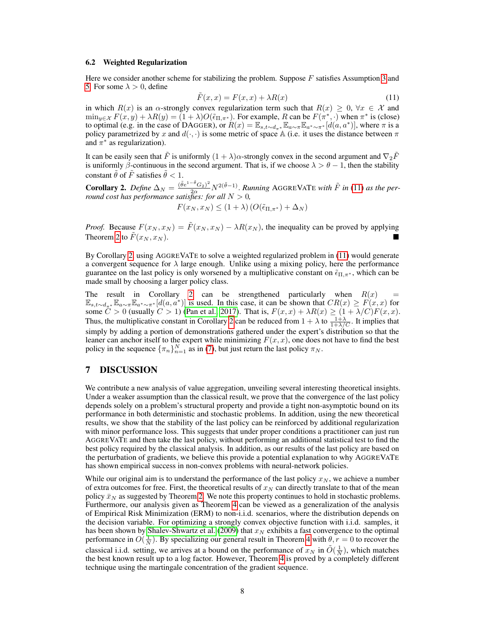#### 6.2 Weighted Regularization

Here we consider another scheme for stabilizing the problem. Suppose  $F$  satisfies Assumption [3](#page-4-2) and [5.](#page-5-0) For some  $\lambda > 0$ , define

<span id="page-7-1"></span>
$$
\tilde{F}(x,x) = F(x,x) + \lambda R(x) \tag{11}
$$

in which  $R(x)$  is an  $\alpha$ -strongly convex regularization term such that  $R(x) \geq 0$ ,  $\forall x \in \mathcal{X}$  and  $\min_{y \in \mathcal{X}} F(x, y) + \lambda R(y) = (1 + \lambda)O(\tilde{\epsilon}_{\Pi, \pi^*})$ . For example, R can be  $F(\pi^*, \cdot)$  when  $\pi^*$  is (close) to optimal (e.g. in the case of DAGGER), or  $R(x) = \mathbb{E}_{s,t\sim d_{\pi^*}} \mathbb{E}_{a\sim \pi} \mathbb{E}_{a^*\sim \pi^*}[d(a,a^*)]$ , where  $\pi$  is a policy parametrized by x and  $d(\cdot, \cdot)$  is some metric of space A (i.e. it uses the distance between  $\pi$ and  $\pi^*$  as regularization).

It can be easily seen that  $\tilde{F}$  is uniformly  $(1 + \lambda)\alpha$ -strongly convex in the second argument and  $\nabla_2 \tilde{F}$ is uniformly  $\beta$ -continuous in the second argument. That is, if we choose  $\lambda > \theta - 1$ , then the stability constant  $\tilde{\theta}$  of  $\tilde{F}$  satisfies  $\tilde{\theta} < 1$ .

<span id="page-7-2"></span>**Corollary 2.** Define  $\Delta_N = \frac{(\tilde{\theta}e^{1-\tilde{\theta}}G_2)^2}{2\alpha}N^{2(\tilde{\theta}-1)}$ . Running AGGREVATE with  $\tilde{F}$  in [\(11\)](#page-7-1) as the per*round cost has performance satisfies: for all*  $N > 0$ ,

$$
F(x_N, x_N) \le (1 + \lambda) \left( O(\tilde{\epsilon}_{\Pi, \pi^*}) + \Delta_N \right)
$$

*Proof.* Because  $F(x_N, x_N) = \tilde{F}(x_N, x_N) - \lambda R(x_N)$ , the inequality can be proved by applying Theorem [2](#page-5-2) to  $\tilde{F}(x_N, x_N)$ .

By Corollary [2,](#page-7-2) using AGGREVATE to solve a weighted regularized problem in [\(11\)](#page-7-1) would generate a convergent sequence for  $\lambda$  large enough. Unlike using a mixing policy, here the performance guarantee on the last policy is only worsened by a multiplicative constant on  $\tilde{\epsilon}_{\Pi,\pi^*}$ , which can be made small by choosing a larger policy class.

The result in Corollary [2](#page-7-2) can be strengthened particularly when  $R(x)$  $\mathbb{E}_{s,t\sim d_{\pi^*}}\mathbb{E}_{a\sim \pi} \mathbb{E}_{a^*\sim \pi^*}[d(a,a^*)]$  is used. In this case, it can be shown that  $CR(x) \geq F(x,x)$  for some  $\ddot{C} > 0$  (usually  $C > 1$ ) [\(Pan et al., 2017\)](#page-8-2). That is,  $F(x, x) + \lambda R(x) \ge (1 + \lambda/C)F(x, x)$ . Thus, the multiplicative constant in Corollary [2](#page-7-2) can be reduced from  $1 + \lambda$  to  $\frac{1+\lambda}{1+\lambda/C}$ . It implies that simply by adding a portion of demonstrations gathered under the expert's distribution so that the leaner can anchor itself to the expert while minimizing  $F(x, x)$ , one does not have to find the best policy in the sequence  $\{\pi_n\}_{n=1}^N$  as in [\(7\)](#page-3-4), but just return the last policy  $\pi_N$ .

# <span id="page-7-0"></span>7 DISCUSSION

We contribute a new analysis of value aggregation, unveiling several interesting theoretical insights. Under a weaker assumption than the classical result, we prove that the convergence of the last policy depends solely on a problem's structural property and provide a tight non-asymptotic bound on its performance in both deterministic and stochastic problems. In addition, using the new theoretical results, we show that the stability of the last policy can be reinforced by additional regularization with minor performance loss. This suggests that under proper conditions a practitioner can just run AGGREVATE and then take the last policy, without performing an additional statistical test to find the best policy required by the classical analysis. In addition, as our results of the last policy are based on the perturbation of gradients, we believe this provide a potential explanation to why AGGREVATE has shown empirical success in non-convex problems with neural-network policies.

While our original aim is to understand the performance of the last policy  $x_N$ , we achieve a number of extra outcomes for free. First, the theoretical results of  $x_N$  can directly translate to that of the mean policy  $\bar{x}_N$  as suggested by Theorem [2.](#page-5-2) We note this property continues to hold in stochastic problems. Furthermore, our analysis given as Theorem [4](#page-6-2) can be viewed as a generalization of the analysis of Empirical Risk Minimization (ERM) to non-i.i.d. scenarios, where the distribution depends on the decision variable. For optimizing a strongly convex objective function with i.i.d. samples, it has been shown by [Shalev-Shwartz et al.](#page-8-17) [\(2009\)](#page-8-17) that  $x_N$  exhibits a fast convergence to the optimal performance in  $O(\frac{1}{N})$ . By specializing our general result in Theorem [4](#page-6-2) with  $\theta, r = 0$  to recover the classical i.i.d. setting, we arrives at a bound on the performance of  $x_N$  in  $\tilde{O}(\frac{1}{N})$ , which matches the best known result up to a log factor. However, Theorem [4](#page-6-2) is proved by a completely different technique using the martingale concentration of the gradient sequence.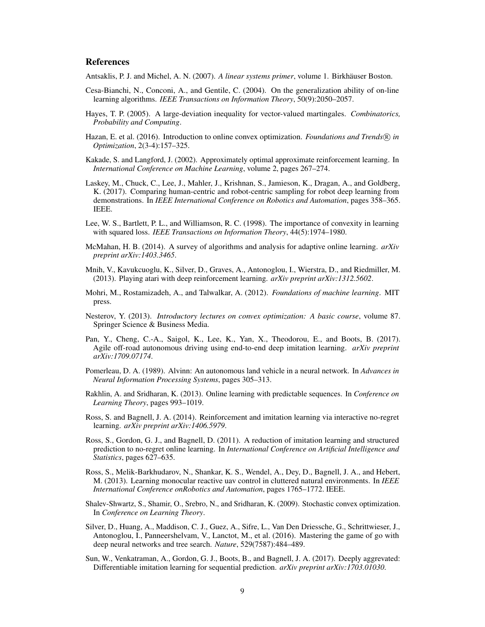## **References**

<span id="page-8-14"></span>Antsaklis, P. J. and Michel, A. N. (2007). *A linear systems primer*, volume 1. Birkhäuser Boston.

- <span id="page-8-12"></span>Cesa-Bianchi, N., Conconi, A., and Gentile, C. (2004). On the generalization ability of on-line learning algorithms. *IEEE Transactions on Information Theory*, 50(9):2050–2057.
- <span id="page-8-15"></span>Hayes, T. P. (2005). A large-deviation inequality for vector-valued martingales. *Combinatorics, Probability and Computing*.
- <span id="page-8-9"></span>Hazan, E. et al. (2016). Introduction to online convex optimization. *Foundations and Trends*<sup>®</sup> *in Optimization*, 2(3-4):157–325.
- <span id="page-8-10"></span>Kakade, S. and Langford, J. (2002). Approximately optimal approximate reinforcement learning. In *International Conference on Machine Learning*, volume 2, pages 267–274.
- <span id="page-8-7"></span>Laskey, M., Chuck, C., Lee, J., Mahler, J., Krishnan, S., Jamieson, K., Dragan, A., and Goldberg, K. (2017). Comparing human-centric and robot-centric sampling for robot deep learning from demonstrations. In *IEEE International Conference on Robotics and Automation*, pages 358–365. IEEE.
- <span id="page-8-11"></span>Lee, W. S., Bartlett, P. L., and Williamson, R. C. (1998). The importance of convexity in learning with squared loss. *IEEE Transactions on Information Theory*, 44(5):1974–1980.
- <span id="page-8-18"></span>McMahan, H. B. (2014). A survey of algorithms and analysis for adaptive online learning. *arXiv preprint arXiv:1403.3465*.
- <span id="page-8-1"></span>Mnih, V., Kavukcuoglu, K., Silver, D., Graves, A., Antonoglou, I., Wierstra, D., and Riedmiller, M. (2013). Playing atari with deep reinforcement learning. *arXiv preprint arXiv:1312.5602*.
- <span id="page-8-16"></span>Mohri, M., Rostamizadeh, A., and Talwalkar, A. (2012). *Foundations of machine learning*. MIT press.
- <span id="page-8-13"></span>Nesterov, Y. (2013). *Introductory lectures on convex optimization: A basic course*, volume 87. Springer Science & Business Media.
- <span id="page-8-2"></span>Pan, Y., Cheng, C.-A., Saigol, K., Lee, K., Yan, X., Theodorou, E., and Boots, B. (2017). Agile off-road autonomous driving using end-to-end deep imitation learning. *arXiv preprint arXiv:1709.07174*.
- <span id="page-8-3"></span>Pomerleau, D. A. (1989). Alvinn: An autonomous land vehicle in a neural network. In *Advances in Neural Information Processing Systems*, pages 305–313.
- <span id="page-8-19"></span>Rakhlin, A. and Sridharan, K. (2013). Online learning with predictable sequences. In *Conference on Learning Theory*, pages 993–1019.
- <span id="page-8-6"></span>Ross, S. and Bagnell, J. A. (2014). Reinforcement and imitation learning via interactive no-regret learning. *arXiv preprint arXiv:1406.5979*.
- <span id="page-8-4"></span>Ross, S., Gordon, G. J., and Bagnell, D. (2011). A reduction of imitation learning and structured prediction to no-regret online learning. In *International Conference on Artificial Intelligence and Statistics*, pages 627–635.
- <span id="page-8-8"></span>Ross, S., Melik-Barkhudarov, N., Shankar, K. S., Wendel, A., Dey, D., Bagnell, J. A., and Hebert, M. (2013). Learning monocular reactive uav control in cluttered natural environments. In *IEEE International Conference onRobotics and Automation*, pages 1765–1772. IEEE.
- <span id="page-8-17"></span>Shalev-Shwartz, S., Shamir, O., Srebro, N., and Sridharan, K. (2009). Stochastic convex optimization. In *Conference on Learning Theory*.
- <span id="page-8-0"></span>Silver, D., Huang, A., Maddison, C. J., Guez, A., Sifre, L., Van Den Driessche, G., Schrittwieser, J., Antonoglou, I., Panneershelvam, V., Lanctot, M., et al. (2016). Mastering the game of go with deep neural networks and tree search. *Nature*, 529(7587):484–489.
- <span id="page-8-5"></span>Sun, W., Venkatraman, A., Gordon, G. J., Boots, B., and Bagnell, J. A. (2017). Deeply aggrevated: Differentiable imitation learning for sequential prediction. *arXiv preprint arXiv:1703.01030*.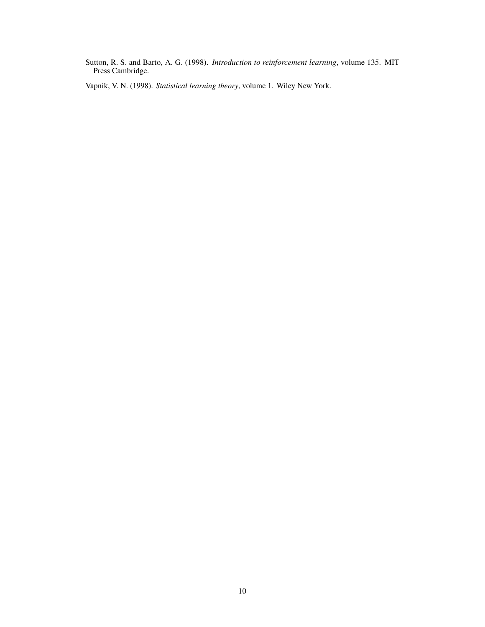<span id="page-9-0"></span>Sutton, R. S. and Barto, A. G. (1998). *Introduction to reinforcement learning*, volume 135. MIT Press Cambridge.

<span id="page-9-1"></span>Vapnik, V. N. (1998). *Statistical learning theory*, volume 1. Wiley New York.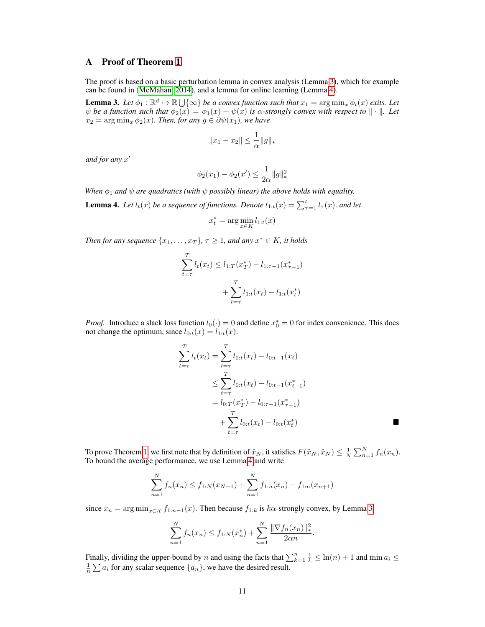## A Proof of Theorem [1](#page-4-7)

The proof is based on a basic perturbation lemma in convex analysis (Lemma [3\)](#page-10-0), which for example can be found in [\(McMahan, 2014\)](#page-8-18), and a lemma for online learning (Lemma [4\)](#page-10-1).

<span id="page-10-0"></span>**Lemma 3.** Let  $\phi_1 : \mathbb{R}^d \mapsto \mathbb{R} \bigcup \{\infty\}$  be a convex function such that  $x_1 = \arg \min_x \phi_t(x)$  exits. Let  $\psi$  *be a function such that*  $\phi_2(x) = \phi_1(x) + \psi(x)$  *is*  $\alpha$ *-strongly convex with respect to*  $\|\cdot\|$ *. Let*  $x_2 = \arg \min_x \phi_2(x)$ *. Then, for any*  $g \in \partial \psi(x_1)$ *, we have* 

$$
||x_1 - x_2|| \le \frac{1}{\alpha} ||g||_*
$$

*and for any* x 0

$$
\phi_2(x_1) - \phi_2(x') \le \frac{1}{2\alpha} \|g\|_*^2
$$

*When*  $\phi_1$  *and*  $\psi$  *are quadratics (with*  $\psi$  *possibly linear) the above holds with equality.* 

<span id="page-10-1"></span>**Lemma 4.** Let  $l_t(x)$  be a sequence of functions. Denote  $l_{1:t}(x) = \sum_{\tau=1}^t l_{\tau}(x)$ . and let

$$
x_t^* = \arg\min_{x \in K} l_{1:t}(x)
$$

*Then for any sequence*  $\{x_1, \ldots, x_T\}$ ,  $\tau \geq 1$ , and any  $x^* \in K$ , it holds

$$
\sum_{t=\tau}^{T} l_t(x_t) \le l_{1:T}(x_T^*) - l_{1:\tau-1}(x_{\tau-1}^*)
$$

$$
+ \sum_{t=\tau}^{T} l_{1:t}(x_t) - l_{1:t}(x_t^*)
$$

*Proof.* Introduce a slack loss function  $l_0(\cdot) = 0$  and define  $x_0^* = 0$  for index convenience. This does not change the optimum, since  $l_{0:t}(x) = l_{1:t}(x)$ .

$$
\sum_{t=\tau}^{T} l_t(x_t) = \sum_{t=\tau}^{T} l_{0:t}(x_t) - l_{0:t-1}(x_t)
$$
\n
$$
\leq \sum_{t=\tau}^{T} l_{0:t}(x_t) - l_{0:t-1}(x_{t-1}^*)
$$
\n
$$
= l_{0:T}(x_T^*) - l_{0:\tau-1}(x_{\tau-1}^*)
$$
\n
$$
+ \sum_{t=\tau}^{T} l_{0:t}(x_t) - l_{0:t}(x_t^*)
$$

To prove Theorem [1,](#page-4-7) we first note that by definition of  $\hat{x}_N$ , it satisfies  $F(\hat{x}_N, \hat{x}_N) \leq \frac{1}{N} \sum_{n=1}^N f_n(x_n)$ . To bound the average performance, we use Lemma [4](#page-10-1) and write

$$
\sum_{n=1}^{N} f_n(x_n) \le f_{1:N}(x_{N+1}) + \sum_{n=1}^{N} f_{1:n}(x_n) - f_{1:n}(x_{n+1})
$$

since  $x_n = \arg \min_{x \in \mathcal{X}} f_{1:n-1}(x)$ . Then because  $f_{1:k}$  is  $k\alpha$ -strongly convex, by Lemma [3,](#page-10-0)

$$
\sum_{n=1}^{N} f_n(x_n) \le f_{1:N}(x_n^*) + \sum_{n=1}^{N} \frac{\|\nabla f_n(x_n)\|_{*}^2}{2\alpha n}.
$$

Finally, dividing the upper-bound by *n* and using the facts that  $\sum_{k=1}^{n} \frac{1}{k} \leq \ln(n) + 1$  and  $\min a_i \leq \frac{1}{n} \sum a_i$  for any scalar sequence  $\{a_n\}$ , we have the desired result.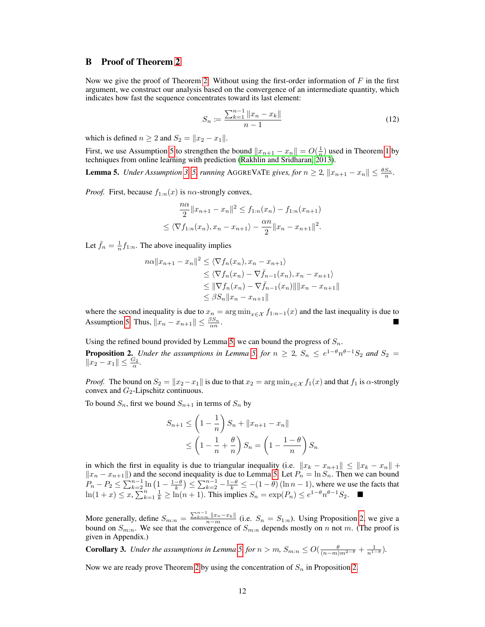## B Proof of Theorem [2](#page-5-2)

Now we give the proof of Theorem [2.](#page-5-2) Without using the first-order information of  $F$  in the first argument, we construct our analysis based on the convergence of an intermediate quantity, which indicates how fast the sequence concentrates toward its last element:

$$
S_n := \frac{\sum_{k=1}^{n-1} ||x_n - x_k||}{n-1}
$$
\n(12)

which is defined  $n \geq 2$  and  $S_2 = ||x_2 - x_1||$ .

First, we use Assumption [5](#page-5-0) to strengthen the bound  $||x_{n+1} - x_n|| = O(\frac{1}{n})$  used in Theorem [1](#page-4-7) by techniques from online learning with prediction (Rakhlin and Sridharan,  $2013$ ).

<span id="page-11-0"></span>**Lemma 5.** *Under Assumption [3,](#page-4-2) [5,](#page-5-0) running* AGGREVATE *gives, for*  $n \ge 2$ ,  $||x_{n+1} - x_n|| \le \frac{\theta S_n}{n}$ .

*Proof.* First, because  $f_{1:n}(x)$  is n $\alpha$ -strongly convex,

$$
\frac{n\alpha}{2} \|x_{n+1} - x_n\|^2 \le f_{1:n}(x_n) - f_{1:n}(x_{n+1})
$$
  

$$
\le \langle \nabla f_{1:n}(x_n), x_n - x_{n+1} \rangle - \frac{\alpha n}{2} \|x_n - x_{n+1}\|^2.
$$

Let  $\bar{f}_n = \frac{1}{n} f_{1:n}$ . The above inequality implies

$$
n\alpha ||x_{n+1} - x_n||^2 \le \langle \nabla f_n(x_n), x_n - x_{n+1} \rangle
$$
  
\n
$$
\le \langle \nabla f_n(x_n) - \nabla \bar{f}_{n-1}(x_n), x_n - x_{n+1} \rangle
$$
  
\n
$$
\le ||\nabla f_n(x_n) - \nabla \bar{f}_{n-1}(x_n)|| ||x_n - x_{n+1}||
$$
  
\n
$$
\le \beta S_n ||x_n - x_{n+1}||
$$

where the second inequality is due to  $x_n = \arg \min_{x \in \mathcal{X}} f_{1:n-1}(x)$  and the last inequality is due to Assumption [5.](#page-5-0) Thus,  $||x_n - x_{n+1}|| \leq \frac{\beta S_n}{\alpha n}$ .

<span id="page-11-1"></span>Using the refined bound provided by Lemma [5,](#page-11-0) we can bound the progress of  $S_n$ . **Proposition 2.** *Under the assumptions in Lemma [5,](#page-11-0) for*  $n \geq 2$ ,  $S_n \leq e^{1-\theta} n^{\theta-1} S_2$  *and*  $S_2 =$  $||x_2 - x_1|| \leq \frac{G_2}{\alpha}$ .

*Proof.* The bound on  $S_2 = ||x_2 - x_1||$  is due to that  $x_2 = \arg \min_{x \in \mathcal{X}} f_1(x)$  and that  $f_1$  is  $\alpha$ -strongly convex and  $G_2$ -Lipschitz continuous.

To bound  $S_n$ , first we bound  $S_{n+1}$  in terms of  $S_n$  by

$$
S_{n+1} \le \left(1 - \frac{1}{n}\right) S_n + ||x_{n+1} - x_n||
$$
  

$$
\le \left(1 - \frac{1}{n} + \frac{\theta}{n}\right) S_n = \left(1 - \frac{1 - \theta}{n}\right) S_n
$$

in which the first in equality is due to triangular inequality (i.e.  $||x_k - x_{n+1}|| \le ||x_k - x_n|| +$  $||x_n - x_{n+1}||$  and the second inequality is due to Lemma [5.](#page-11-0) Let  $P_n = \ln S_n$ . Then we can bound  $P_n - P_2 \le \sum_{k=2}^{n-1} \ln\left(1 - \frac{1-\theta}{k}\right) \le \sum_{k=2}^{n-1} \frac{1-\theta}{k} \le -(1-\theta)(\ln n - 1)$ , where we use the facts that ln(1 + x) ≤ x,  $\sum_{k=1}^{n} \frac{1}{k} \ge \ln(n+1)$ . This implies  $S_n = \exp(P_n) \le e^{1-\theta} n^{\theta-1} S_2$ . ■

More generally, define  $S_{m:n} = \frac{\sum_{k=m}^{n-1} ||x_n-x_k||}{n-m}$  (i.e.  $S_n = S_{1:n}$ ). Using Proposition [2,](#page-11-1) we give a bound on  $S_{m:n}$ . We see that the convergence of  $S_{m:n}$  depends mostly on n not m. (The proof is given in Appendix.)

**Corollary 3.** *Under the assumptions in Lemma [5,](#page-11-0) for*  $n > m$ ,  $S_{m:n} \leq O(\frac{\theta}{(n-m)m^{2-\theta}} + \frac{1}{n^{1-\theta}})$ *.* 

Now we are ready prove Theorem [2](#page-5-2) by using the concentration of  $S_n$  in Proposition [2.](#page-11-1)